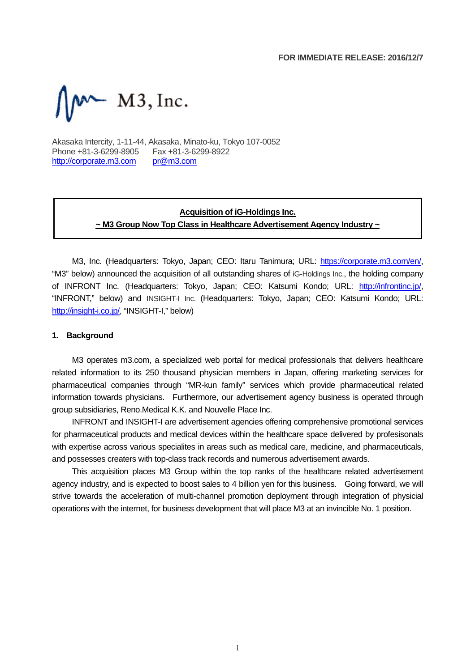

Akasaka Intercity, 1-11-44, Akasaka, Minato-ku, Tokyo 107-0052 Phone +81-3-6299-8905 Fax +81-3-6299-8922 http://corporate.m3.com pr@m3.com

# **Acquisition of iG-Holdings Inc. ~ M3 Group Now Top Class in Healthcare Advertisement Agency Industry ~**

M3, Inc. (Headquarters: Tokyo, Japan; CEO: Itaru Tanimura; URL: https://corporate.m3.com/en/, "M3" below) announced the acquisition of all outstanding shares of iG-Holdings Inc., the holding company of INFRONT Inc. (Headquarters: Tokyo, Japan; CEO: Katsumi Kondo; URL: http://infrontinc.jp/, "INFRONT," below) and INSIGHT-I Inc. (Headquarters: Tokyo, Japan; CEO: Katsumi Kondo; URL: http://insight-i.co.jp/, "INSIGHT-I," below)

#### **1. Background**

M3 operates m3.com, a specialized web portal for medical professionals that delivers healthcare related information to its 250 thousand physician members in Japan, offering marketing services for pharmaceutical companies through "MR-kun family" services which provide pharmaceutical related information towards physicians. Furthermore, our advertisement agency business is operated through group subsidiaries, Reno.Medical K.K. and Nouvelle Place Inc.

INFRONT and INSIGHT-I are advertisement agencies offering comprehensive promotional services for pharmaceutical products and medical devices within the healthcare space delivered by profesisonals with expertise across various specialites in areas such as medical care, medicine, and pharmaceuticals, and possesses creaters with top-class track records and numerous advertisement awards.

This acquisition places M3 Group within the top ranks of the healthcare related advertisement agency industry, and is expected to boost sales to 4 billion yen for this business. Going forward, we will strive towards the acceleration of multi-channel promotion deployment through integration of physicial operations with the internet, for business development that will place M3 at an invincible No. 1 position.